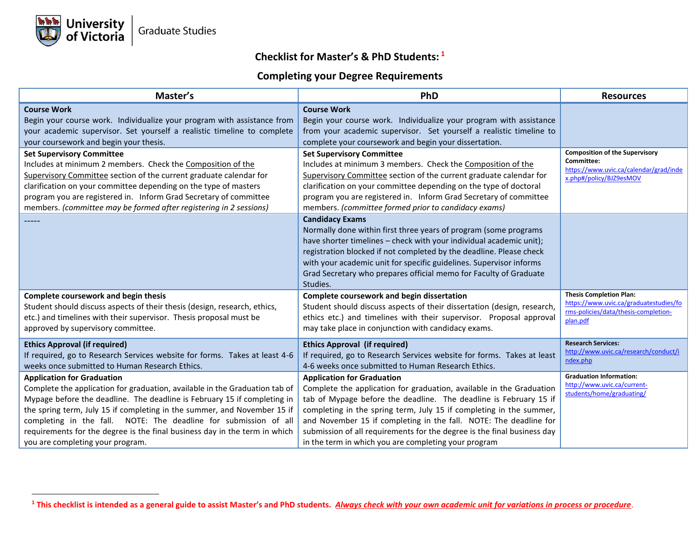## **Checklist for Master's & PhD Students: 1**

## **Completing your Degree Requirements**

| Master's                                                                                                                                                                                                                                                                                                                                                                                                                                                       | PhD                                                                                                                                                                                                                                                                                                                                                                                                                                                           | <b>Resources</b>                                                                                                             |
|----------------------------------------------------------------------------------------------------------------------------------------------------------------------------------------------------------------------------------------------------------------------------------------------------------------------------------------------------------------------------------------------------------------------------------------------------------------|---------------------------------------------------------------------------------------------------------------------------------------------------------------------------------------------------------------------------------------------------------------------------------------------------------------------------------------------------------------------------------------------------------------------------------------------------------------|------------------------------------------------------------------------------------------------------------------------------|
| <b>Course Work</b><br>Begin your course work. Individualize your program with assistance from<br>your academic supervisor. Set yourself a realistic timeline to complete<br>your coursework and begin your thesis.                                                                                                                                                                                                                                             | <b>Course Work</b><br>Begin your course work. Individualize your program with assistance<br>from your academic supervisor. Set yourself a realistic timeline to<br>complete your coursework and begin your dissertation.                                                                                                                                                                                                                                      | <b>Composition of the Supervisory</b>                                                                                        |
| <b>Set Supervisory Committee</b><br>Includes at minimum 2 members. Check the Composition of the<br>Supervisory Committee section of the current graduate calendar for<br>clarification on your committee depending on the type of masters<br>program you are registered in. Inform Grad Secretary of committee<br>members. (committee may be formed after registering in 2 sessions)                                                                           | <b>Set Supervisory Committee</b><br>Includes at minimum 3 members. Check the Composition of the<br>Supervisory Committee section of the current graduate calendar for<br>clarification on your committee depending on the type of doctoral<br>program you are registered in. Inform Grad Secretary of committee<br>members. (committee formed prior to candidacy exams)                                                                                       | Committee:<br>https://www.uvic.ca/calendar/grad/inde<br>x.php#/policy/BJZ9esMOV                                              |
|                                                                                                                                                                                                                                                                                                                                                                                                                                                                | <b>Candidacy Exams</b><br>Normally done within first three years of program (some programs<br>have shorter timelines - check with your individual academic unit);<br>registration blocked if not completed by the deadline. Please check<br>with your academic unit for specific guidelines. Supervisor informs<br>Grad Secretary who prepares official memo for Faculty of Graduate<br>Studies.                                                              |                                                                                                                              |
| Complete coursework and begin thesis<br>Student should discuss aspects of their thesis (design, research, ethics,<br>etc.) and timelines with their supervisor. Thesis proposal must be<br>approved by supervisory committee.                                                                                                                                                                                                                                  | Complete coursework and begin dissertation<br>Student should discuss aspects of their dissertation (design, research,<br>ethics etc.) and timelines with their supervisor. Proposal approval<br>may take place in conjunction with candidacy exams.                                                                                                                                                                                                           | <b>Thesis Completion Plan:</b><br>https://www.uvic.ca/graduatestudies/fo<br>rms-policies/data/thesis-completion-<br>plan.pdf |
| <b>Ethics Approval (if required)</b><br>If required, go to Research Services website for forms. Takes at least 4-6<br>weeks once submitted to Human Research Ethics.                                                                                                                                                                                                                                                                                           | <b>Ethics Approval (if required)</b><br>If required, go to Research Services website for forms. Takes at least<br>4-6 weeks once submitted to Human Research Ethics.                                                                                                                                                                                                                                                                                          | <b>Research Services:</b><br>http://www.uvic.ca/research/conduct/i<br>ndex.php                                               |
| <b>Application for Graduation</b><br>Complete the application for graduation, available in the Graduation tab of<br>Mypage before the deadline. The deadline is February 15 if completing in<br>the spring term, July 15 if completing in the summer, and November 15 if<br>completing in the fall. NOTE: The deadline for submission of all<br>requirements for the degree is the final business day in the term in which<br>you are completing your program. | <b>Application for Graduation</b><br>Complete the application for graduation, available in the Graduation<br>tab of Mypage before the deadline. The deadline is February 15 if<br>completing in the spring term, July 15 if completing in the summer,<br>and November 15 if completing in the fall. NOTE: The deadline for<br>submission of all requirements for the degree is the final business day<br>in the term in which you are completing your program | <b>Graduation Information:</b><br>http://www.uvic.ca/current-<br>students/home/graduating/                                   |

**<sup>1</sup> This checklist is intended as a general guide to assist Master's and PhD students.** *Always check with your own academic unit for variations in process or procedure*.